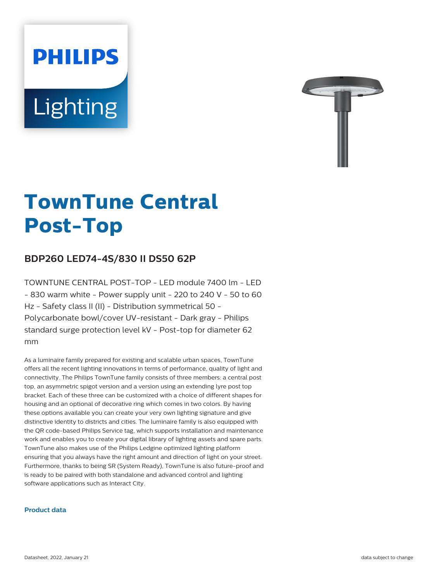# **PHILIPS** Lighting



# **TownTune Central Post-Top**

# **BDP260 LED74-4S/830 II DS50 62P**

TOWNTUNE CENTRAL POST-TOP - LED module 7400 lm - LED  $-$  830 warm white - Power supply unit - 220 to 240 V - 50 to 60 Hz - Safety class II (II) - Distribution symmetrical 50 - Polycarbonate bowl/cover UV-resistant - Dark gray - Philips standard surge protection level kV - Post-top for diameter 62 mm

As a luminaire family prepared for existing and scalable urban spaces, TownTune offers all the recent lighting innovations in terms of performance, quality of light and connectivity. The Philips TownTune family consists of three members: a central post top, an asymmetric spigot version and a version using an extending lyre post top bracket. Each of these three can be customized with a choice of different shapes for housing and an optional of decorative ring which comes in two colors. By having these options available you can create your very own lighting signature and give distinctive identity to districts and cities. The luminaire family is also equipped with the QR code-based Philips Service tag, which supports installation and maintenance work and enables you to create your digital library of lighting assets and spare parts. TownTune also makes use of the Philips Ledgine optimized lighting platform ensuring that you always have the right amount and direction of light on your street. Furthermore, thanks to being SR (System Ready), TownTune is also future-proof and is ready to be paired with both standalone and advanced control and lighting software applications such as Interact City.

#### **Product data**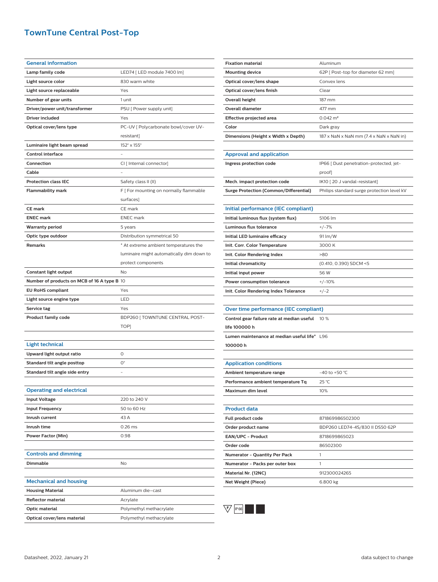# **TownTune Central Post-Top**

| <b>General information</b>                  |                                           |
|---------------------------------------------|-------------------------------------------|
| Lamp family code                            | LED74 [ LED module 7400 lm]               |
| Light source color                          | 830 warm white                            |
| Light source replaceable                    | Yes                                       |
| Number of gear units                        | 1 unit                                    |
| Driver/power unit/transformer               | PSU [ Power supply unit]                  |
| Driver included                             | Yes                                       |
| Optical cover/lens type                     | PC-UV [ Polycarbonate bowl/cover UV-      |
|                                             | resistant]                                |
| Luminaire light beam spread                 | 152° x 155°                               |
| <b>Control interface</b>                    |                                           |
| Connection                                  | CI [ Internal connector]                  |
| Cable                                       |                                           |
| <b>Protection class IEC</b>                 | Safety class II (II)                      |
| <b>Flammability mark</b>                    | F [ For mounting on normally flammable    |
|                                             | surfaces)                                 |
| CE mark                                     | CE mark                                   |
| <b>ENEC mark</b>                            | <b>ENEC</b> mark                          |
| <b>Warranty period</b>                      | 5 years                                   |
| Optic type outdoor                          | Distribution symmetrical 50               |
| <b>Remarks</b>                              | * At extreme ambient temperatures the     |
|                                             | luminaire might automatically dim down to |
|                                             | protect components                        |
| Constant light output                       | No                                        |
| Number of products on MCB of 16 A type B 10 |                                           |
| <b>EU RoHS compliant</b>                    | Yes                                       |
|                                             |                                           |
| Light source engine type                    | LED                                       |
| Service tag                                 | Yes                                       |
| <b>Product family code</b>                  | BDP260 [ TOWNTUNE CENTRAL POST-           |
|                                             | TOP]                                      |
|                                             |                                           |
| <b>Light technical</b>                      |                                           |
| Upward light output ratio                   | 0                                         |
| Standard tilt angle posttop                 | 0°                                        |
| Standard tilt angle side entry              |                                           |
|                                             |                                           |
| <b>Operating and electrical</b>             |                                           |
| <b>Input Voltage</b>                        | 220 to 240 V                              |
| <b>Input Frequency</b>                      | 50 to 60 Hz                               |
| Inrush current                              | 43 A                                      |
| Inrush time                                 | $0.26$ ms                                 |
| <b>Power Factor (Min)</b>                   | 0.98                                      |
|                                             |                                           |
| <b>Controls and dimming</b>                 |                                           |
| Dimmable                                    | No                                        |
|                                             |                                           |
| <b>Mechanical and housing</b>               |                                           |
| <b>Housing Material</b>                     | Aluminum die-cast                         |
| <b>Reflector material</b>                   | Acrylate                                  |
| Optic material                              | Polymethyl methacrylate                   |

| <b>Fixation material</b>            | Aluminum                                                            |
|-------------------------------------|---------------------------------------------------------------------|
| <b>Mounting device</b>              | 62P   Post-top for diameter 62 mm]                                  |
| Optical cover/lens shape            | Convex lens                                                         |
| Optical cover/lens finish           | Clear                                                               |
| Overall height                      | 187 mm                                                              |
| <b>Overall diameter</b>             | 477 mm                                                              |
| Effective projected area            | $0.042 \text{ m}^2$                                                 |
| Color                               | Dark gray                                                           |
| Dimensions (Height x Width x Depth) | $187 \times$ NaN $\times$ NaN mm (7.4 $\times$ NaN $\times$ NaN in) |
|                                     |                                                                     |

#### **Approval and application**

| Ingress protection code                | IP66   Dust penetration-protected. jet-    |
|----------------------------------------|--------------------------------------------|
|                                        | proofl                                     |
| Mech. impact protection code           | IK10 [20 J vandal-resistant]               |
| Surge Protection (Common/Differential) | Philips standard surge protection level kV |

| Initial performance (IEC compliant)   |                        |
|---------------------------------------|------------------------|
| Initial luminous flux (system flux)   | 5106 lm                |
| Luminous flux tolerance               | $+/-7%$                |
| Initial LED luminaire efficacy        | 91 lm/W                |
| Init. Corr. Color Temperature         | 3000 K                 |
| Init. Color Rendering Index           | >80                    |
| Initial chromaticity                  | (0.410, 0.390) SDCM <5 |
| Initial input power                   | 56 W                   |
| Power consumption tolerance           | $+/-10%$               |
| Init. Color Rendering Index Tolerance | $+/-2$                 |

#### **Over time performance (IEC compliant)**

| Control gear failure rate at median useful 10 % |  |
|-------------------------------------------------|--|
| life 100000 h                                   |  |
| Lumen maintenance at median useful life* L96    |  |
| 100000h                                         |  |

**Material Nr. (12NC)** 912300024265 **Net Weight (Piece)** 6.800 kg

# **Application conditions** Ambient temperature range  $-40$  to +50 °C **Performance ambient temperature Tq** 25 °C **Maximum dim level** 10% **Product data Full product code** 871869986502300 **Order product name** BDP260 LED74-4S/830 II DS50 62P **EAN/UPC - Product** 8718699865023 **Order code** 86502300 **Numerator - Quantity Per Pack** 1 **Numerator - Packs per outer box** 1



#### Datasheet, 2022, January 21 2 data subject to change